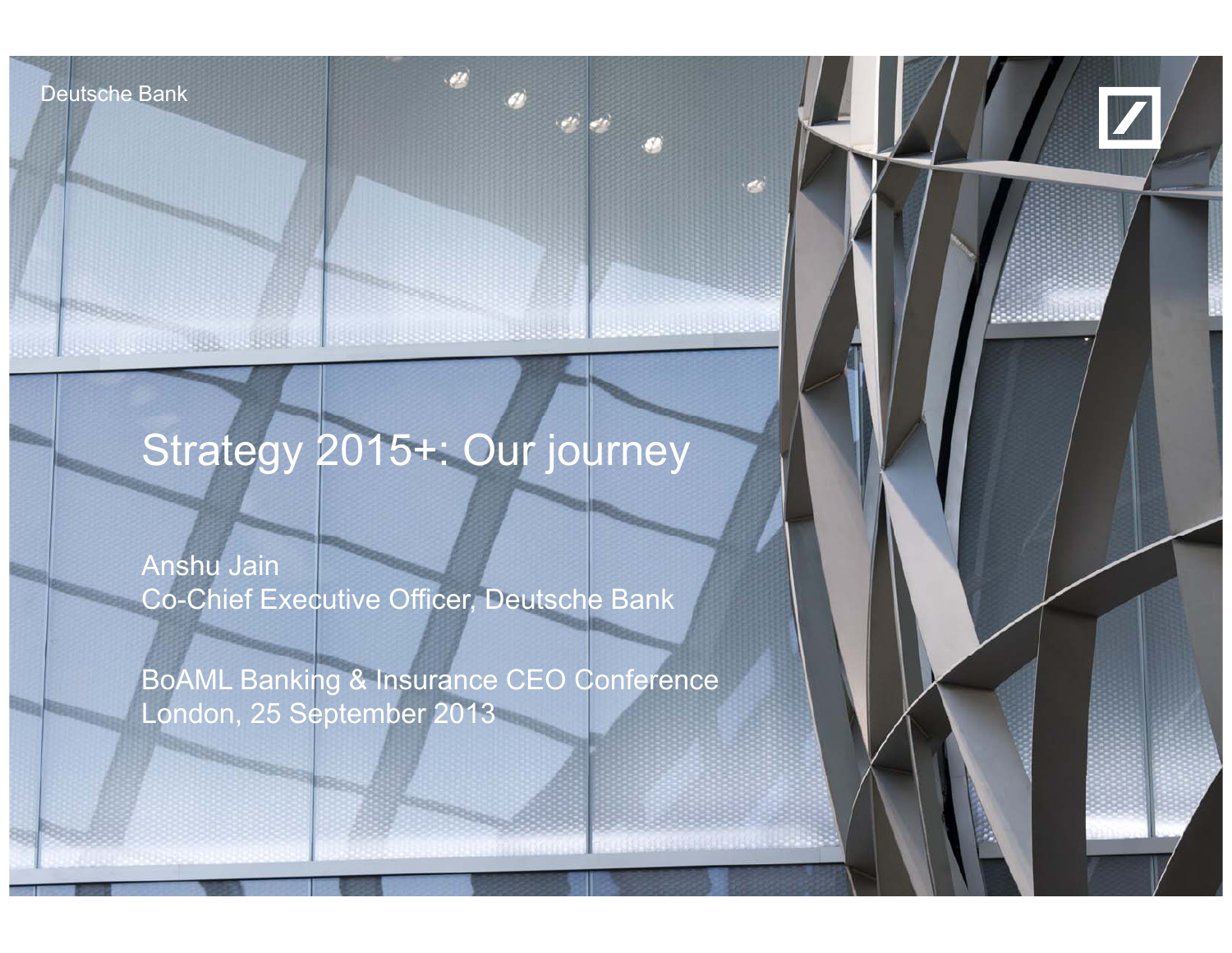Deutsche Bank

**AND AN ANTIQUE ACTUAL A** 

Deutsche Bank



## Strategy 2015+: Our journey

Anshu Jain Co-Chief Executive Officer, Deutsche Bank

25 September 2013

BoAML Banking & Insurance CEO Conference London, 25 September 2013

Anshu Jain, BoAML Banking & Insurance CEO Conference

financial transparency.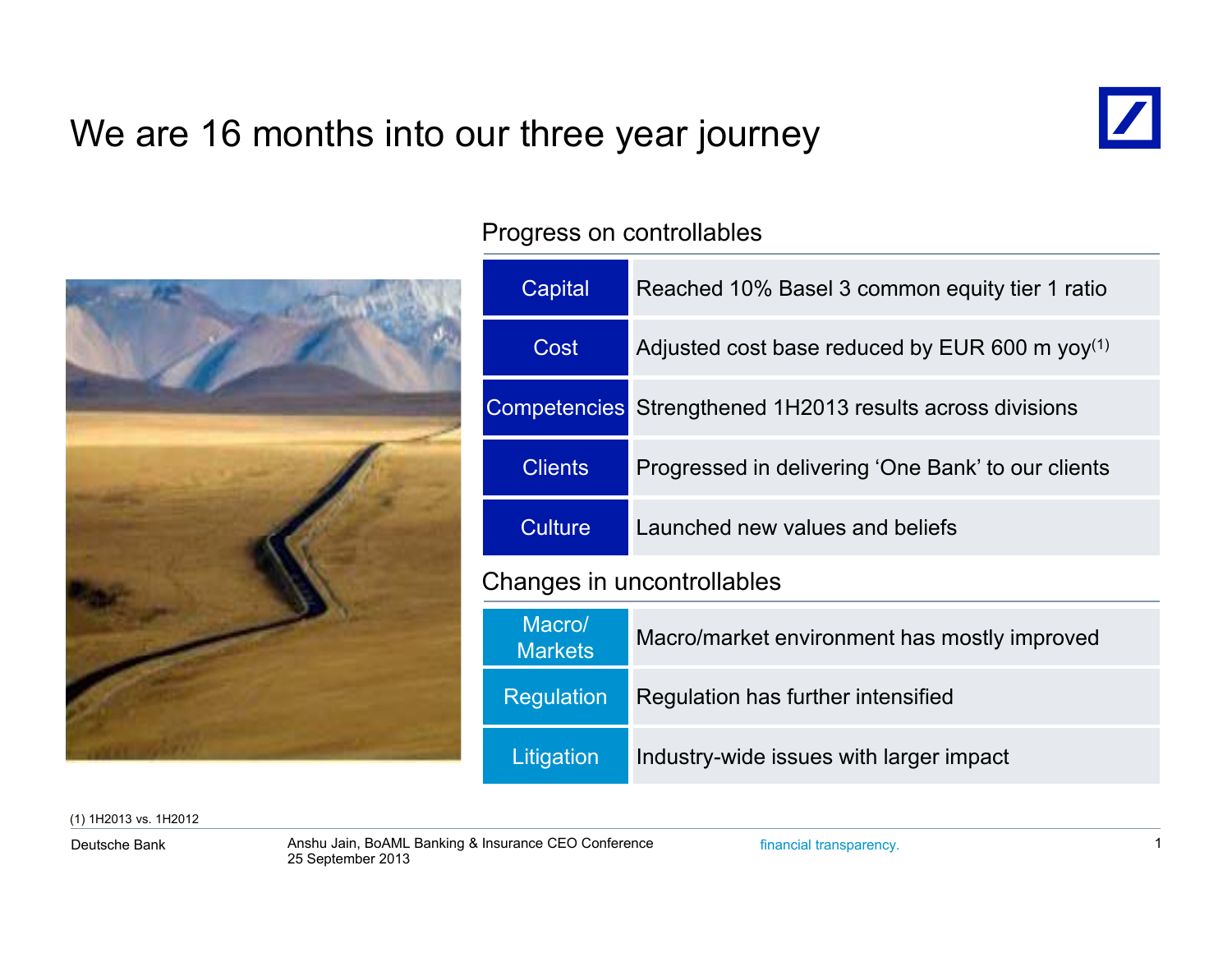## We are 16 months into our three year journey





### Progress on controllables

| Capital                    | Reached 10% Basel 3 common equity tier 1 ratio                   |  |  |  |  |
|----------------------------|------------------------------------------------------------------|--|--|--|--|
| Cost                       | Adjusted cost base reduced by EUR 600 m $yoy^{(1)}$              |  |  |  |  |
|                            | <b>Competencies</b> Strengthened 1H2013 results across divisions |  |  |  |  |
| <b>Clients</b>             | Progressed in delivering 'One Bank' to our clients               |  |  |  |  |
| <b>Culture</b>             | Launched new values and beliefs                                  |  |  |  |  |
| Changes in uncontrollables |                                                                  |  |  |  |  |
| Macro/<br><b>Markets</b>   | Macro/market environment has mostly improved                     |  |  |  |  |
| <b>Regulation</b>          | Regulation has further intensified                               |  |  |  |  |
| Litigation                 | Industry-wide issues with larger impact                          |  |  |  |  |

(1) 1H2013 vs. 1H2012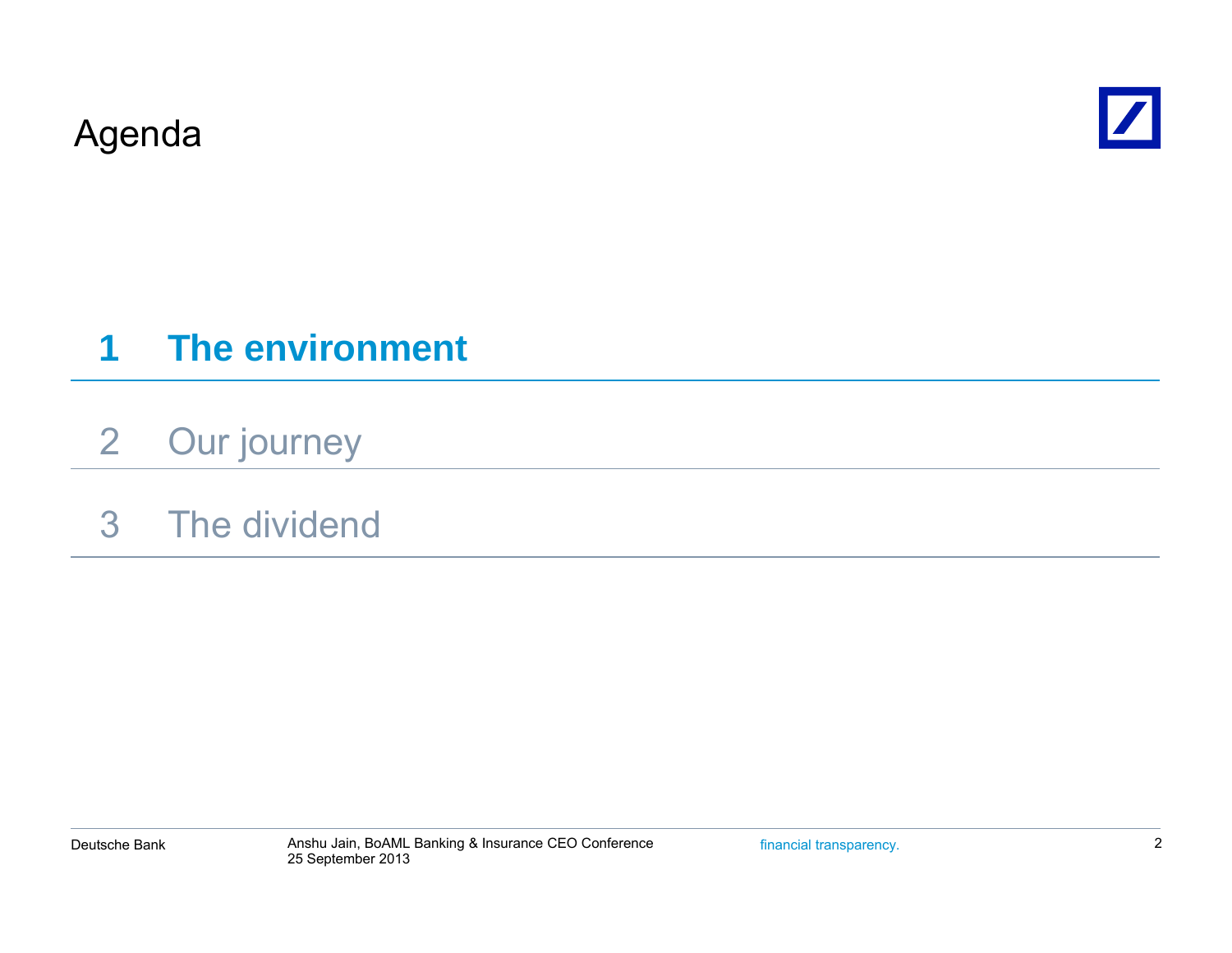Agenda



#### **1The environment**

- 2Our journey
- 3 The dividend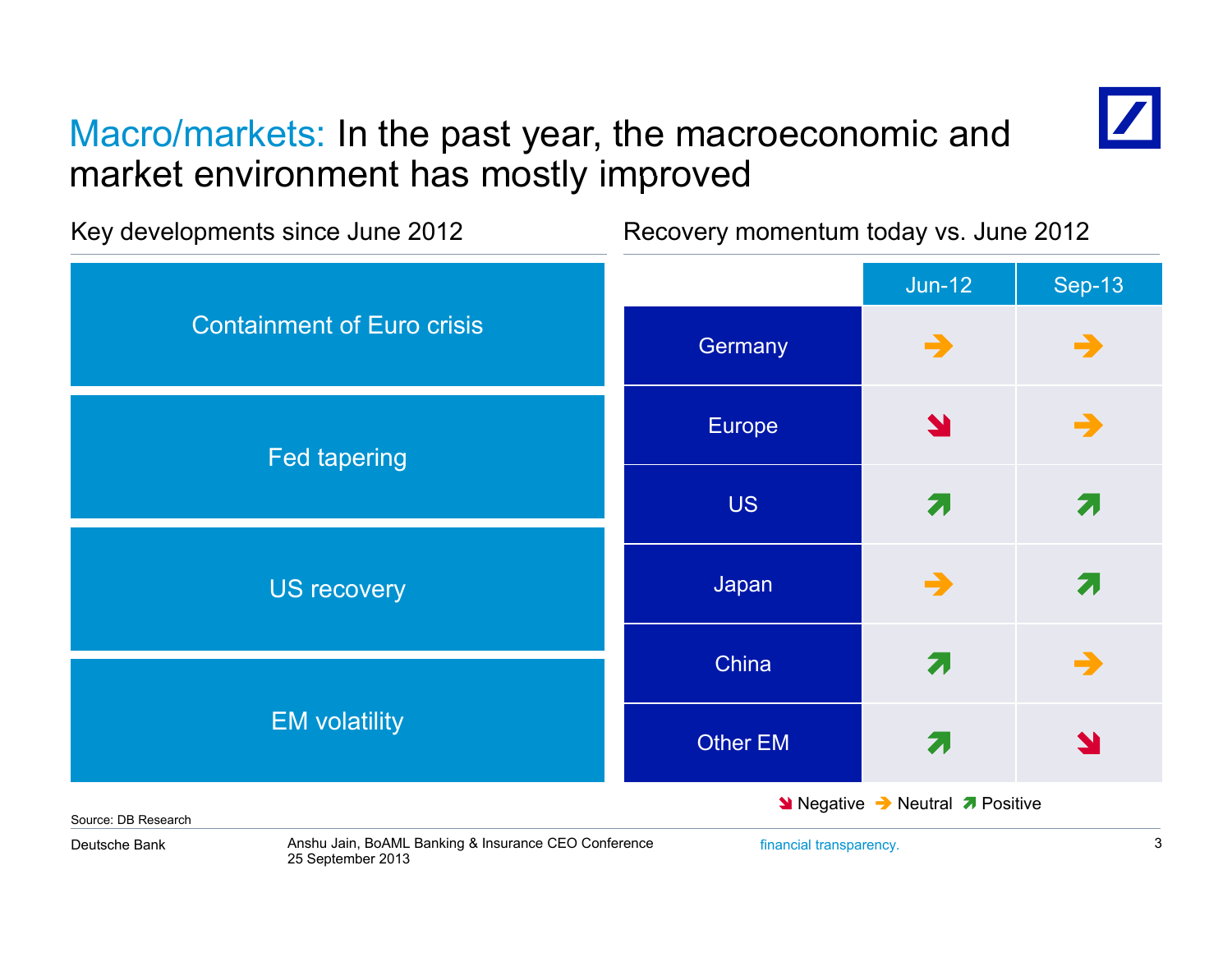## Macro/markets: In the past year, the macroeconomic and market environment has mostly improved



Jun-12 | Sep-13 Key developments since June 2012 Recovery momentum today vs. June 2012 Germany **C** Y  $\overrightarrow{a}$   $\rightarrow$ Containment of Euro crisisEurope US $\mathbf S$  , and  $\mathbf Z$ 71 Fed tapering Japan  $\rightarrow$ China and  $\overline{z}$ ㅋ → US recovery Other EMM<sub>a</sub> EM volatility **Negative → Neutral** *A* Positive

Source: DB Research

Deutsche Bank

Anshu Jain, BoAML Banking & Insurance CEO Conference financial transparency. 3 25 September 2013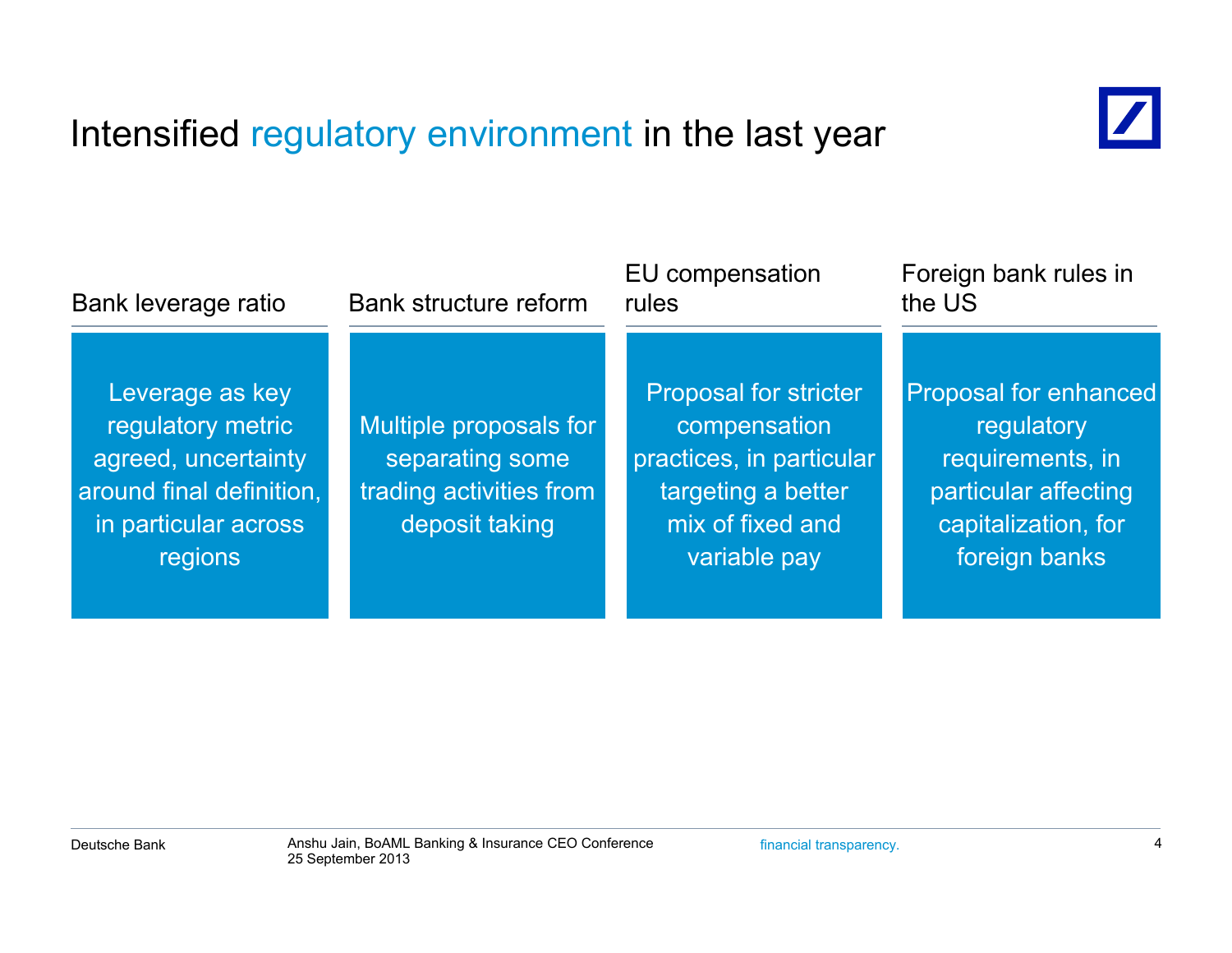## Intensified regulatory environment in the last year



| Bank leverage ratio                                                                                                        | <b>Bank structure reform</b>                                                           | EU compensation<br>rules                                                                                                           | Foreign bank rules in<br>the US                                                                                         |  |
|----------------------------------------------------------------------------------------------------------------------------|----------------------------------------------------------------------------------------|------------------------------------------------------------------------------------------------------------------------------------|-------------------------------------------------------------------------------------------------------------------------|--|
| Leverage as key<br>regulatory metric<br>agreed, uncertainty<br>around final definition,<br>in particular across<br>regions | Multiple proposals for<br>separating some<br>trading activities from<br>deposit taking | <b>Proposal for stricter</b><br>compensation<br>practices, in particular<br>targeting a better<br>mix of fixed and<br>variable pay | Proposal for enhanced<br>regulatory<br>requirements, in<br>particular affecting<br>capitalization, for<br>foreign banks |  |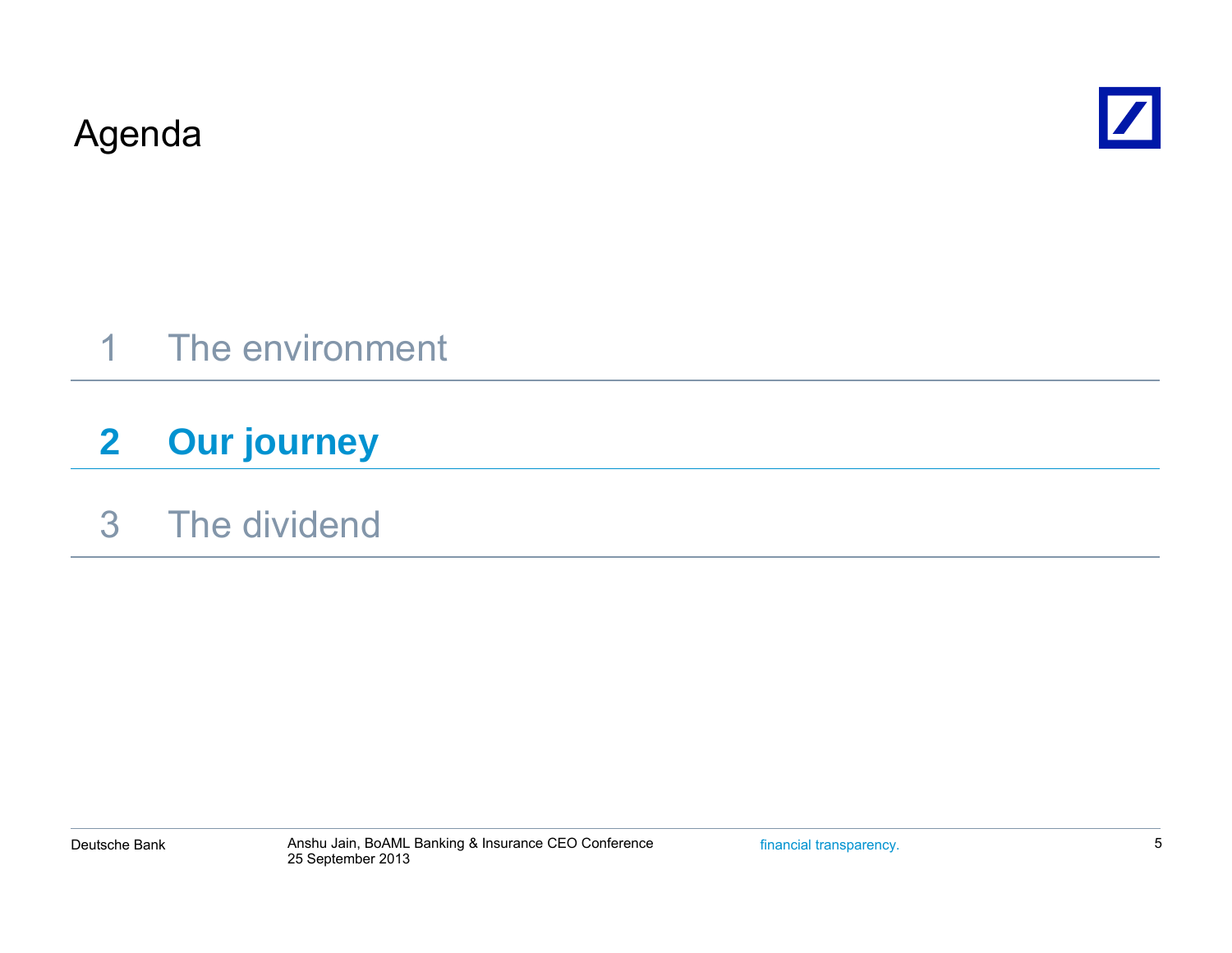Agenda



## 1 The environment

### **2Our journey**

## 3 The dividend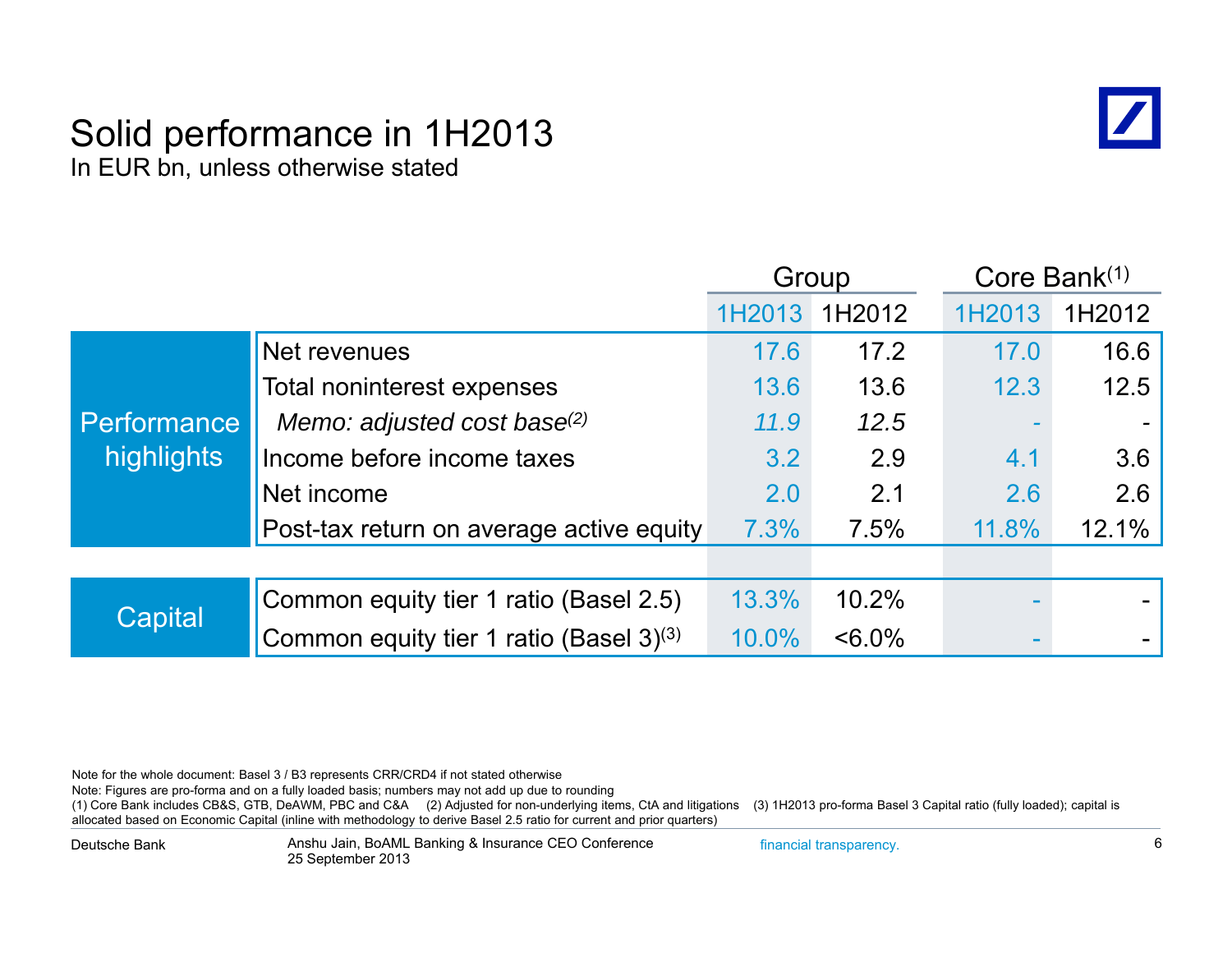### Solid performance in 1H2013 In EUR bn, unless otherwise stated



|                                  |                                          |        | Group     |        | Core Bank(1) |
|----------------------------------|------------------------------------------|--------|-----------|--------|--------------|
|                                  |                                          | 1H2013 | 1H2012    | 1H2013 | 1H2012       |
|                                  | Net revenues                             | 17.6   | 17.2      | 17.0   | 16.6         |
|                                  | Total noninterest expenses               | 13.6   | 13.6      | 12.3   | 12.5         |
| <b>Performance</b><br>highlights | Memo: adjusted cost base(2)              | 11.9   | 12.5      |        |              |
|                                  | Income before income taxes               | 3.2    | 2.9       | 4.1    | 3.6          |
|                                  | Net income                               | 2.0    | 2.1       | 2.6    | 2.6          |
|                                  | Post-tax return on average active equity | 7.3%   | 7.5%      | 11.8%  | 12.1%        |
|                                  |                                          |        |           |        |              |
| Capital                          | Common equity tier 1 ratio (Basel 2.5)   | 13.3%  | 10.2%     |        |              |
|                                  | Common equity tier 1 ratio (Basel 3)(3)  | 10.0%  | $< 6.0\%$ |        |              |

Note for the whole document: Basel 3 / B3 represents CRR/CRD4 if not stated otherwise

Note: Figures are pro-forma and on a fully loaded basis; numbers may not add up due to rounding

(1) Core Bank includes CB&S, GTB, DeAWM, PBC and C&A (2) Adjusted for non-underlying items, CtA and litigations (3) 1H2013 pro-forma Basel 3 Capital ratio (fully loaded); capital is allocated based on Economic Capital (inline with methodology to derive Basel 2.5 ratio for current and prior quarters)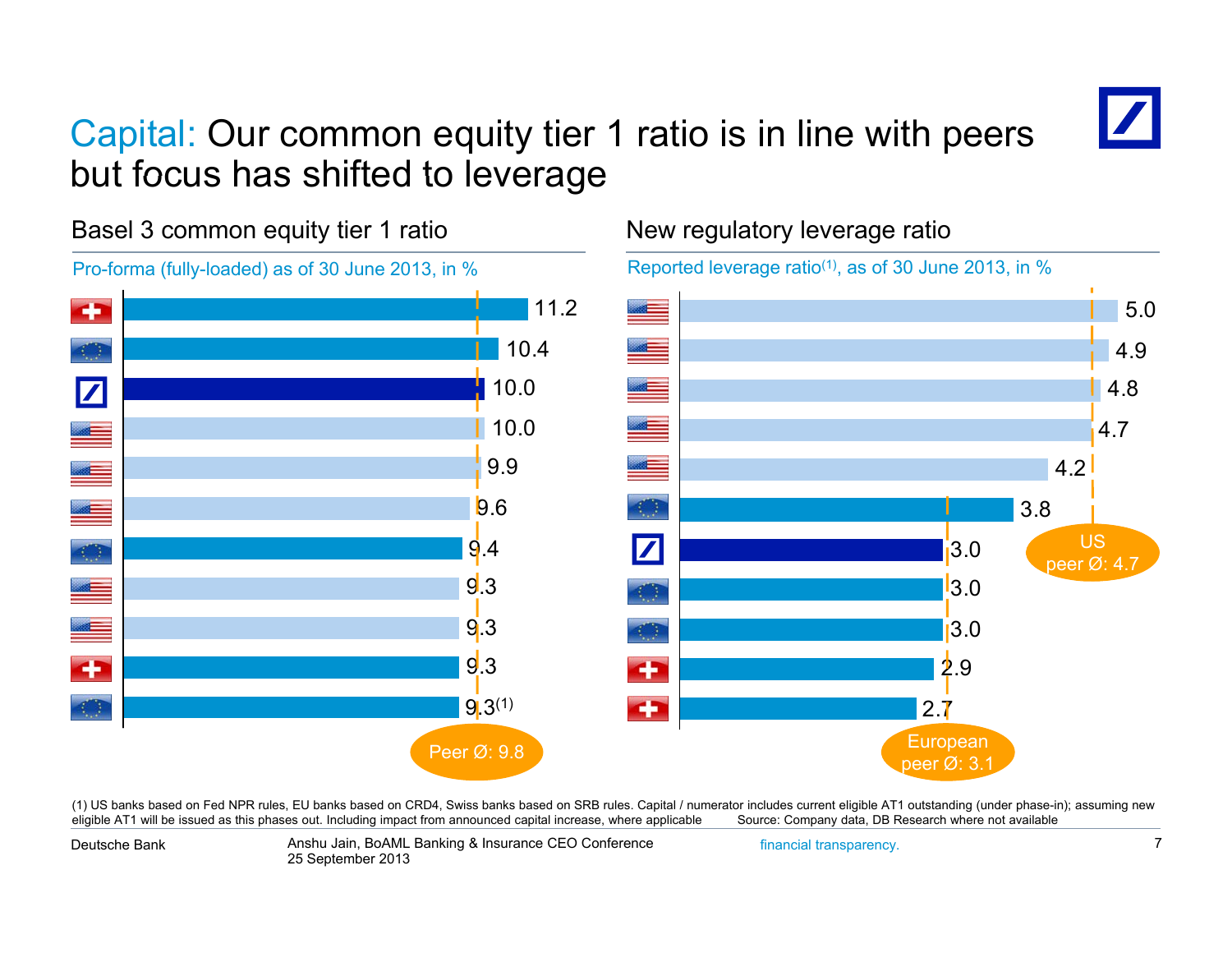## Capital: Our common equity tier 1 ratio is in line with peers but focus has shifted to leverage



Basel 3 common equity tier 1 ratio



### New regulatory leverage ratio

Reported leverage ratio<sup>(1)</sup>, as of 30 June 2013, in  $%$ 



(1) US banks based on Fed NPR rules, EU banks based on CRD4, Swiss banks based on SRB rules. Capital / numerator includes current eligible AT1 outstanding (under phase-in); assuming new eligible AT1 will be issued as this phases out. Including impact from announced capital increase, where applicable Source: Company data, DB Research where not available

Deutsche Bank

Anshu Jain, BoAML Banking & Insurance CEO Conference financial transparency. 7 25 September 2013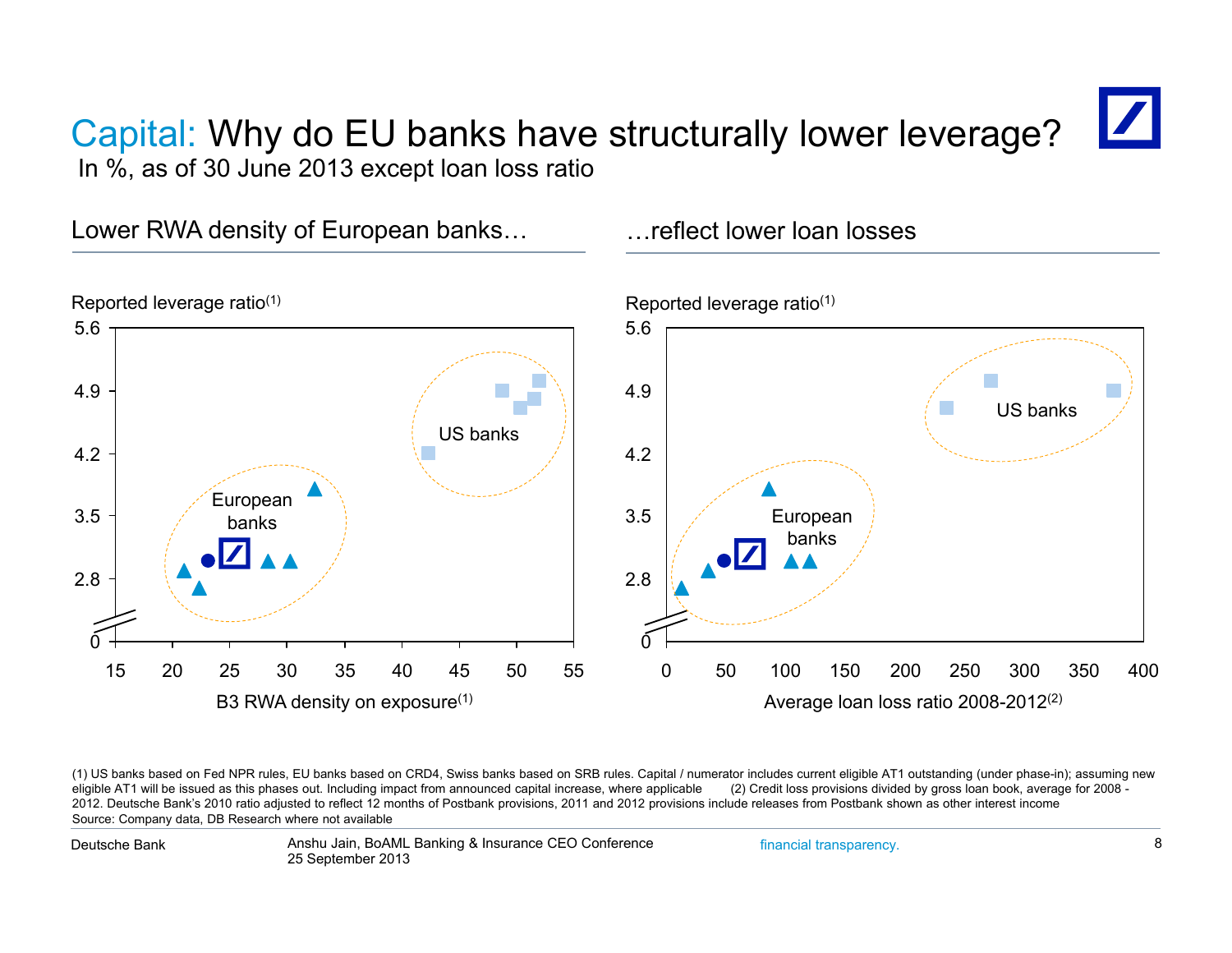### Capital: Why do EU banks have structurally lower leverage? In %, as of 30 June 2013 except loan loss ratio

Lower RWA density of European banks... The flect lower loan losses



(1) US banks based on Fed NPR rules, EU banks based on CRD4, Swiss banks based on SRB rules. Capital / numerator includes current eligible AT1 outstanding (under phase-in); assuming new<br>eligible AT1 will be issued as this 2012. Deutsche Bank's 2010 ratio adjusted to reflect 12 months of Postbank provisions, 2011 and 2012 provisions include releases from Postbank shown as other interest income Source: Company data, DB Research where not available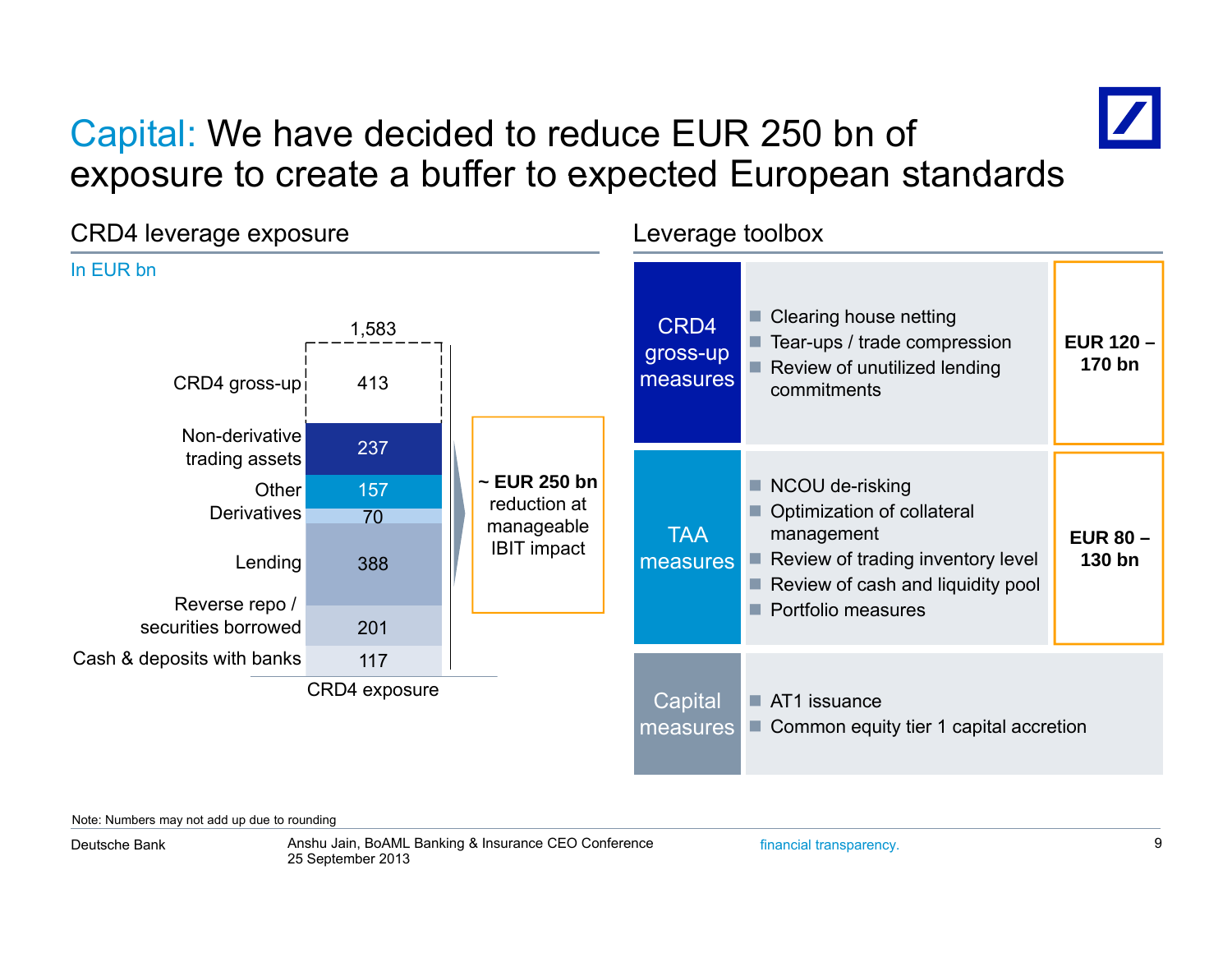## Capital: We have decided to reduce EUR 250 bn of exposure to create <sup>a</sup> buffer to expected European standards



Note: Numbers may not add up due to rounding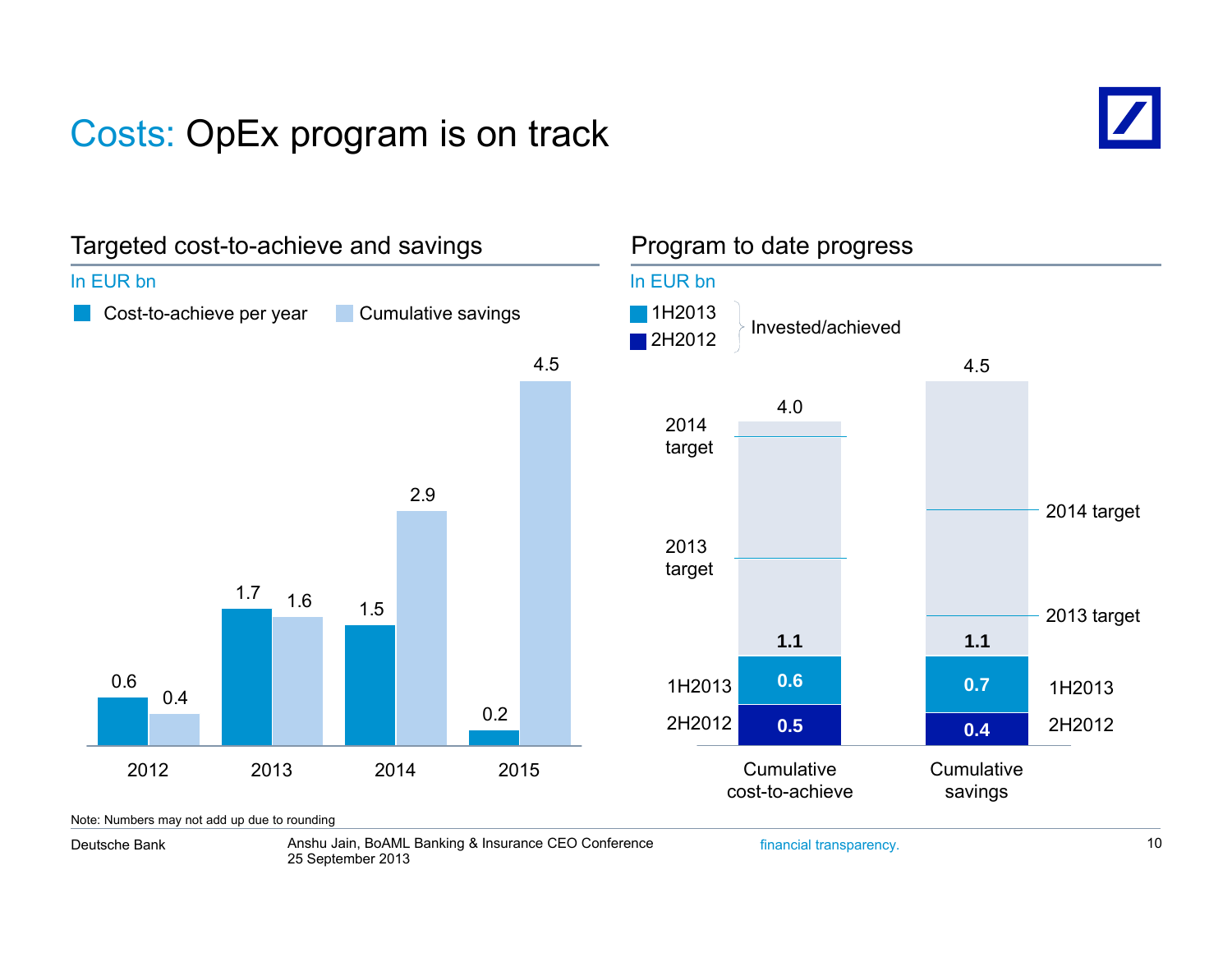## Costs: OpEx program is on track



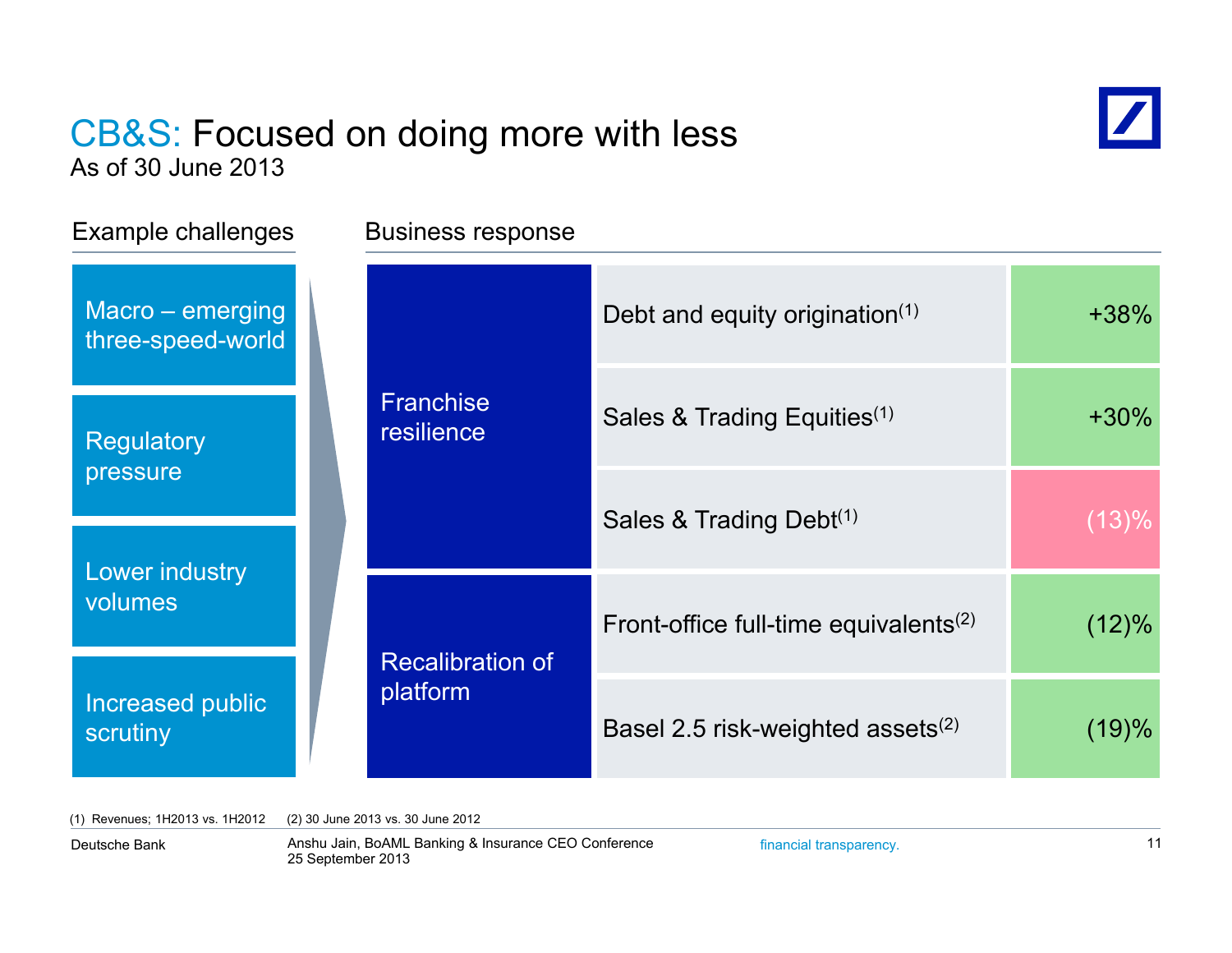# CB&S: Focused on doing more with less



As of 30 June 2013

| Example challenges |                                       |  | <b>Business response</b>            |                                                   |           |  |
|--------------------|---------------------------------------|--|-------------------------------------|---------------------------------------------------|-----------|--|
|                    | Macro - emerging<br>three-speed-world |  | <b>Franchise</b><br>resilience      | Debt and equity origination $(1)$                 | $+38%$    |  |
|                    | <b>Regulatory</b>                     |  |                                     | Sales & Trading Equities <sup>(1)</sup>           | $+30\%$   |  |
| pressure           |                                       |  | Sales & Trading Debt <sup>(1)</sup> | (13)%                                             |           |  |
|                    | Lower industry<br>volumes             |  | <b>Recalibration of</b><br>platform | Front-office full-time equivalents <sup>(2)</sup> | (12)%     |  |
|                    | Increased public<br>scrutiny          |  |                                     | Basel 2.5 risk-weighted assets $(2)$              | $(19) \%$ |  |

(1) Revenues; 1H2013 vs. 1H2012 (2) 30 June 2013 vs. 30 June 2012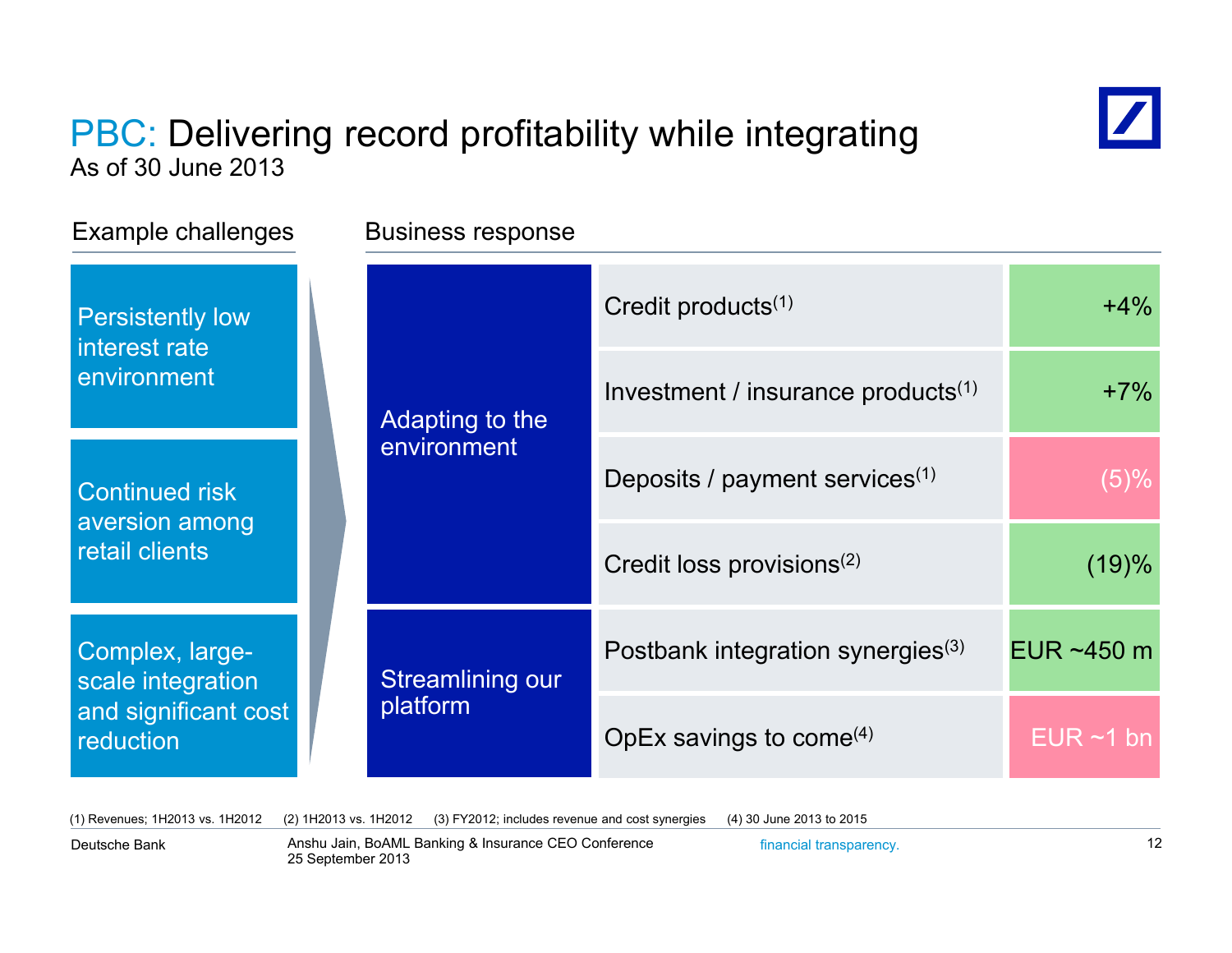### PBC: Delivering record profitability while integrating As of 30 June 2013



(1) Revenues; 1H2013 vs. 1H2012 (2) 1H2013 vs. 1H2012 (3) FY2012; includes revenue and cost synergies (4) 30 June 2013 to 2015

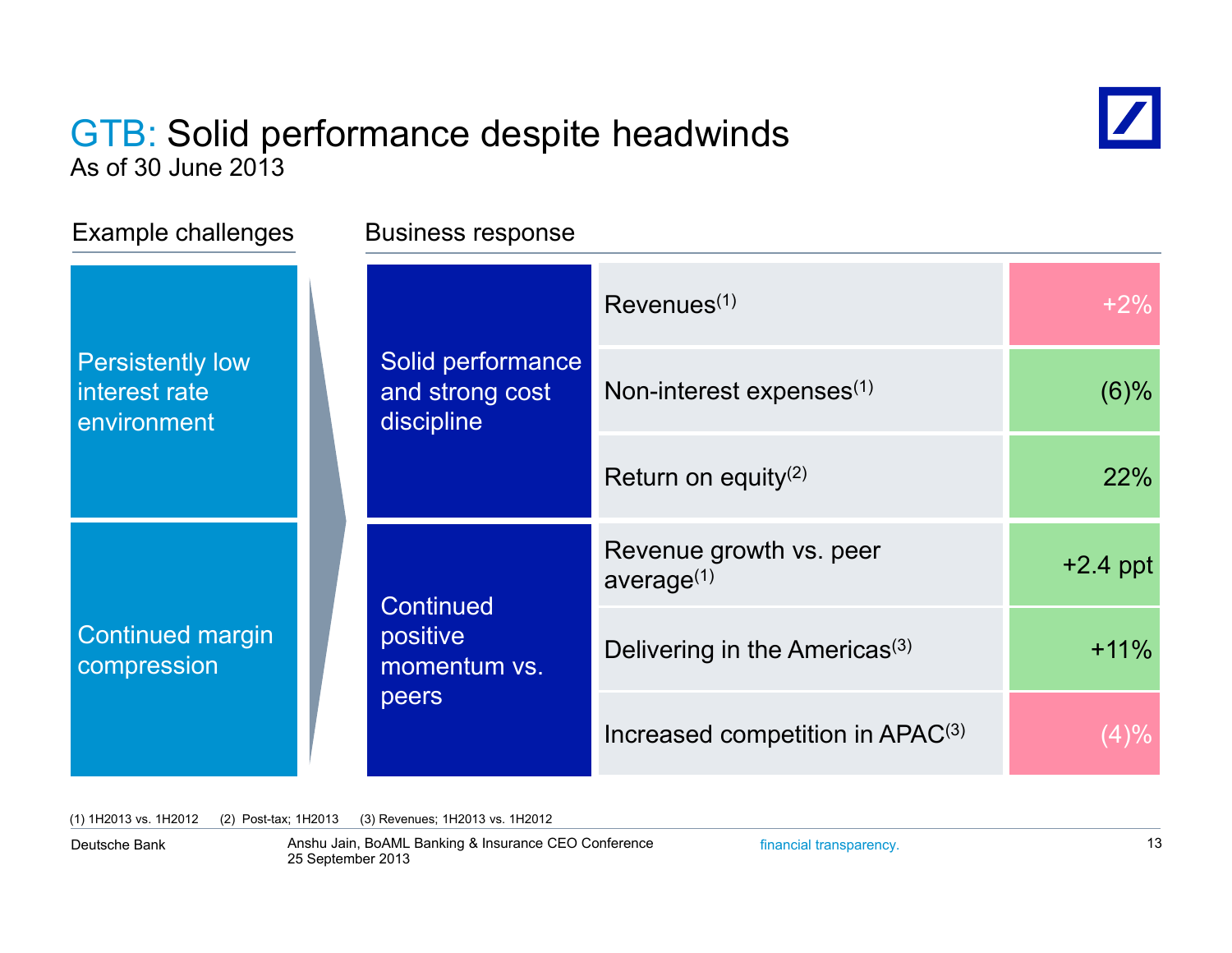### GTB: Solid performance despite headwinds As of 30 June 2013



| Example challenges                                      | <b>Business response</b>                              |                                                   |            |  |
|---------------------------------------------------------|-------------------------------------------------------|---------------------------------------------------|------------|--|
|                                                         | Solid performance<br>and strong cost<br>discipline    | Revenues <sup>(1)</sup>                           | $+2%$      |  |
| <b>Persistently low</b><br>interest rate<br>environment |                                                       | Non-interest expenses $(1)$                       | $(6)\%$    |  |
|                                                         |                                                       | Return on equity <sup>(2)</sup>                   | 22%        |  |
|                                                         | <b>Continued</b><br>positive<br>momentum vs.<br>peers | Revenue growth vs. peer<br>average <sup>(1)</sup> | $+2.4$ ppt |  |
| <b>Continued margin</b><br>compression                  |                                                       | Delivering in the Americas <sup>(3)</sup>         | $+11%$     |  |
|                                                         |                                                       | Increased competition in APAC <sup>(3)</sup>      | $(4)\%$    |  |

(1) 1H2013 vs. 1H2012 (2) Post-tax; 1H2013 (3) Revenues; 1H2013 vs. 1H2012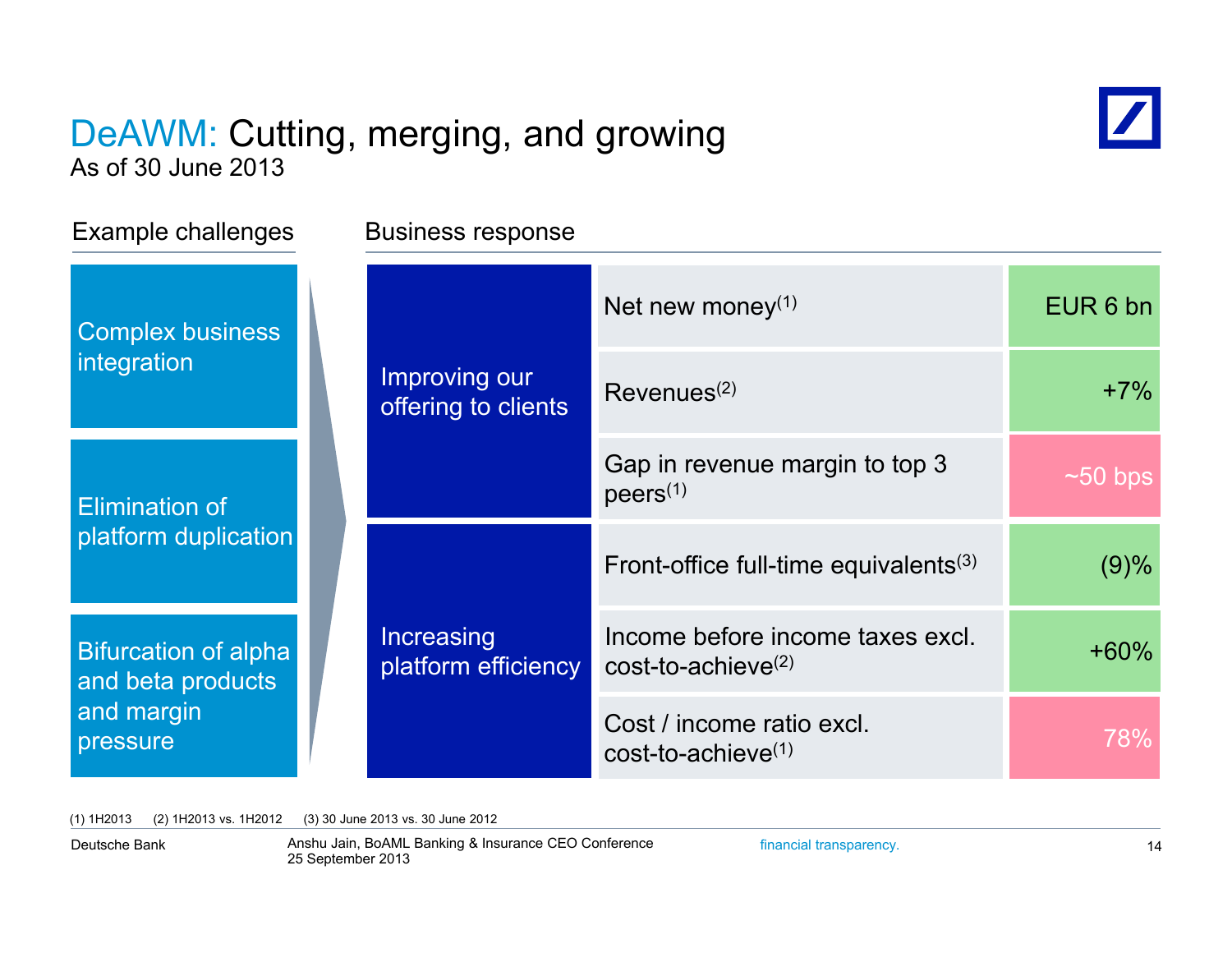### DeAWM: Cutting, merging, and growing As of 30 June 2013



Example challenges Business response Net new money $^{(1)}$   $\qquad \qquad$  EUR 6 bn Improving our offering to clients  $\left\vert \text{Revenues}^{(2)} \right\vert$   $\left\vert \text{Revenues}^{(2)} \right\vert$   $\left\vert \text{Revenues}^{(3)} \right\vert$   $\left\vert \text{Imperbras}^{(4)} \right\vert$   $\left\vert \text{Imperbras}^{(5)} \right\vert$   $\left\vert \text{Imperbras}^{(6)} \right\vert$   $\left\vert \text{Imperbras}^{(7)} \right\vert$   $\left\vert \text{Imperbras}^{(7)} \right\vert$   $\left\vert \text{Imperbras}^{(8)} \right\vert$   $\left$ Complex business integration Gap in revenue margin to top 3 **Elimination of Elimination of Allen Contract Contract Property** (1) platform duplication  $~1$ ~50 bps **Increasing** Front-office full-time equivalents<sup>(3)</sup>  $(9)$ % platform duplication<br>Bifurcation of alpha Increasing Income before income taxes excl. <br>and beta products income before income taxes excl. <br> $+60\%$ 78%Cost / income ratio excl.<br>cost-to-achieve<sup>(1)</sup> **Bifurcation of alpha** and beta products and margin pressure cost-to-achieve(2)

(1) 1H2013 (2) 1H2013 vs. 1H2012 (3) 30 June 2013 vs. 30 June 2012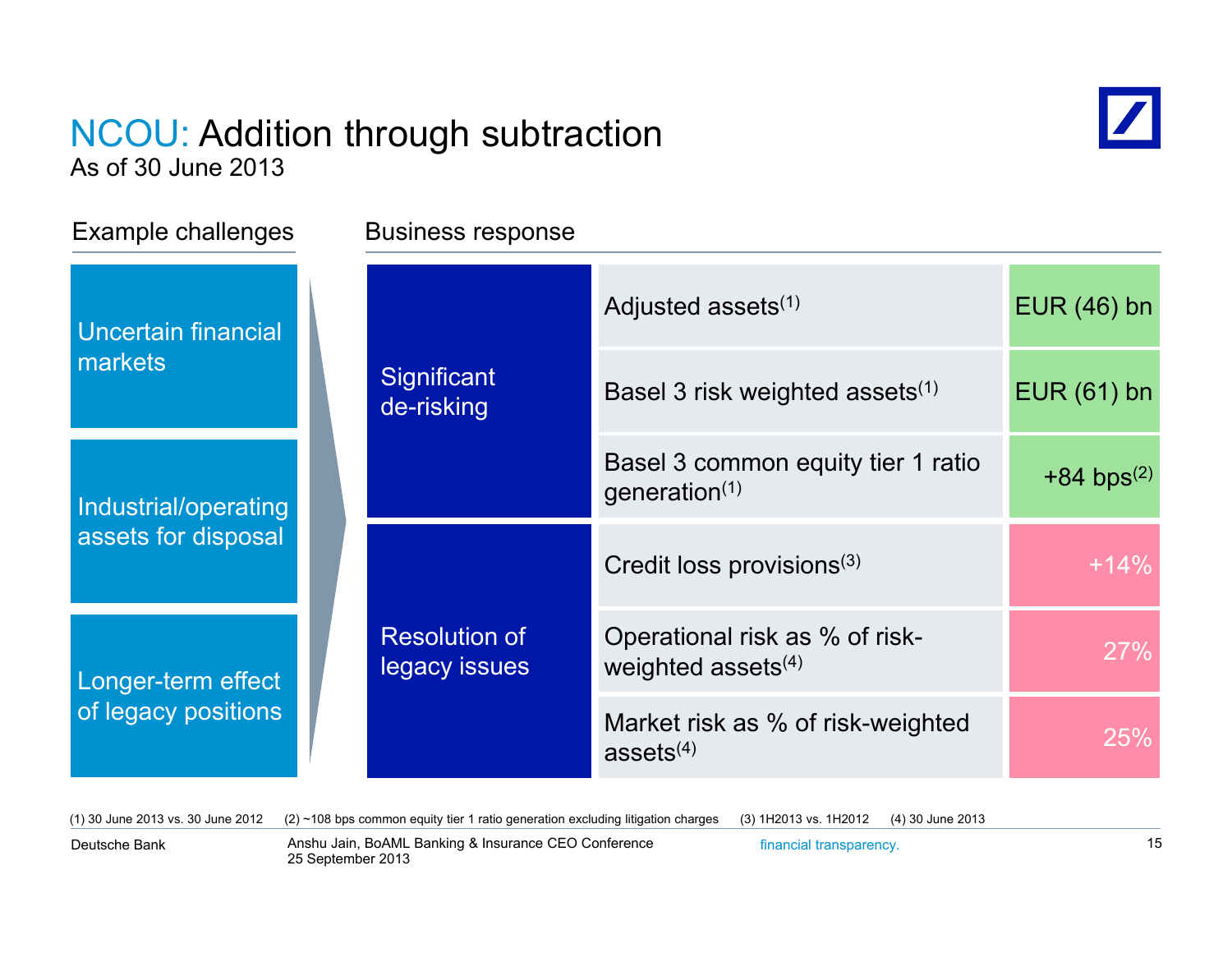### NCOU: Addition through subtraction As of 30 June 2013



Example challenges Business response

| Uncertain financial<br>markets              |                                       | Adjusted assets <sup>(1)</sup>                                   | $EUR(46)$ bn             |
|---------------------------------------------|---------------------------------------|------------------------------------------------------------------|--------------------------|
|                                             | Significant<br>de-risking             | Basel 3 risk weighted assets <sup>(1)</sup>                      | $EUR(61)$ bn             |
| Industrial/operating<br>assets for disposal |                                       | Basel 3 common equity tier 1 ratio<br>generation $(1)$           | $+84$ bps <sup>(2)</sup> |
|                                             |                                       | Credit loss provisions <sup>(3)</sup>                            | $+14%$                   |
| Longer-term effect<br>of legacy positions   | <b>Resolution of</b><br>legacy issues | Operational risk as % of risk-<br>weighted assets <sup>(4)</sup> | 27%                      |
|                                             |                                       | Market risk as % of risk-weighted<br>assets $(4)$                | 25%                      |

(1) 30 June 2013 vs. 30 June 2012 (2) ~108 bps common equity tier 1 ratio generation excluding litigation charges (3) 1H2013 vs. 1H2012 (4) 30 June 2013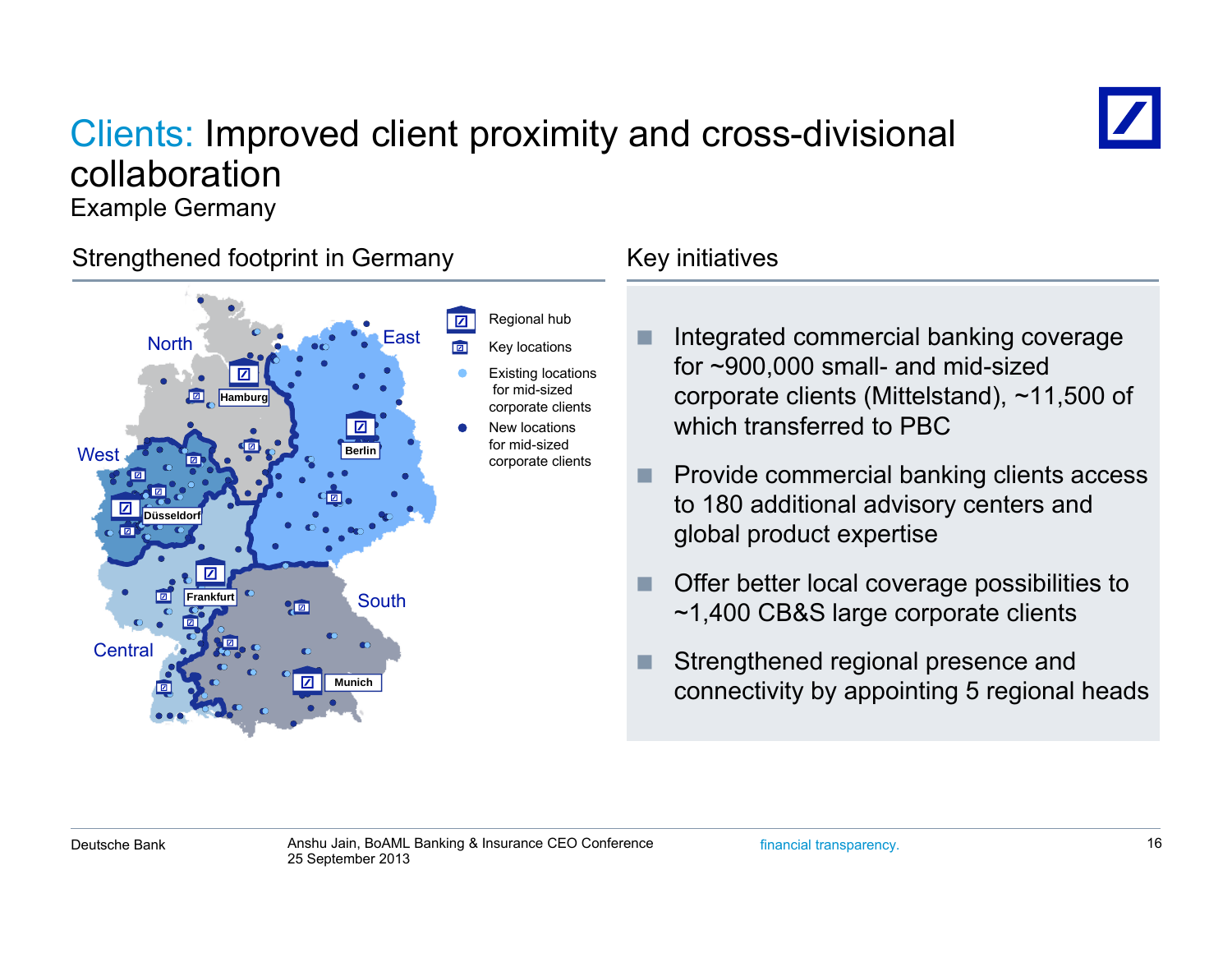## Clients: Improved client proximity and cross-divisional collaboration



Example Germany

### Strengthened footprint in Germany Theorem Key initiatives



- F. Integrated commercial banking coverage for ~900,000 small- and mid-sized corporate clients (Mittelstand), ~11,500 of which transferred to PBC
- n. Provide commercial banking clients access to 180 additional advisory centers and global product expertise
- F. Offer better local coverage possibilities to ~1,400 CB&S large corporate clients
- F connectivity by appointing 5 regional heads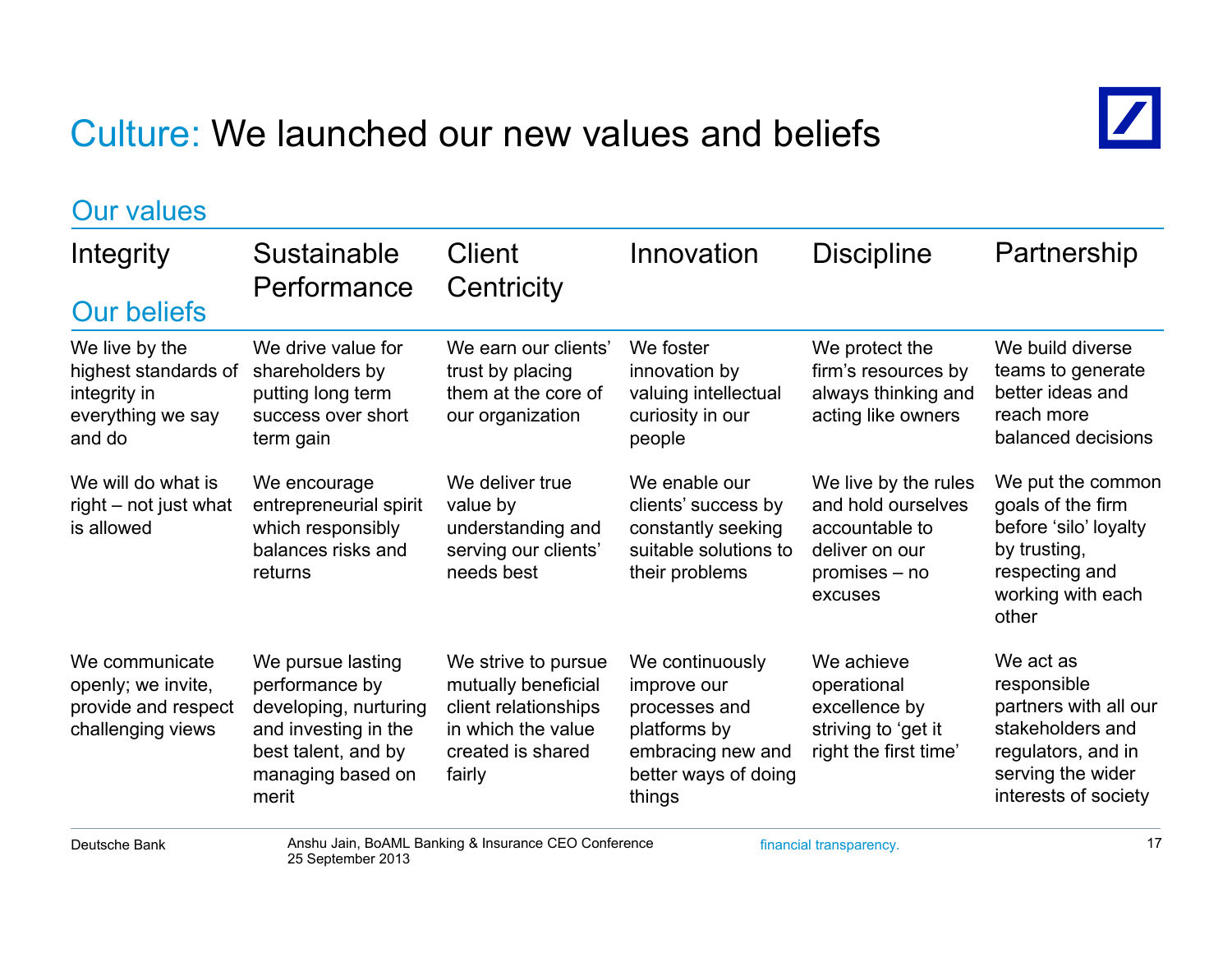## Culture: We launched our new values and beliefs



| <b>Our values</b>                                                                     |                                                                                                                                           |                                                                                                                         |                                                                                                                        |                                                                                                            |                                                                                                                                          |  |
|---------------------------------------------------------------------------------------|-------------------------------------------------------------------------------------------------------------------------------------------|-------------------------------------------------------------------------------------------------------------------------|------------------------------------------------------------------------------------------------------------------------|------------------------------------------------------------------------------------------------------------|------------------------------------------------------------------------------------------------------------------------------------------|--|
| Integrity<br><b>Our beliefs</b>                                                       | Sustainable<br>Performance                                                                                                                | <b>Client</b><br>Centricity                                                                                             | Innovation                                                                                                             | <b>Discipline</b>                                                                                          | Partnership                                                                                                                              |  |
| We live by the<br>highest standards of<br>integrity in<br>everything we say<br>and do | We drive value for<br>shareholders by<br>putting long term<br>success over short<br>term gain                                             | We earn our clients'<br>trust by placing<br>them at the core of<br>our organization                                     | We foster<br>innovation by<br>valuing intellectual<br>curiosity in our<br>people                                       | We protect the<br>firm's resources by<br>always thinking and<br>acting like owners                         | We build diverse<br>teams to generate<br>better ideas and<br>reach more<br>balanced decisions                                            |  |
| We will do what is<br>right – not just what<br>is allowed                             | We encourage<br>entrepreneurial spirit<br>which responsibly<br>balances risks and<br>returns                                              | We deliver true<br>value by<br>understanding and<br>serving our clients'<br>needs best                                  | We enable our<br>clients' success by<br>constantly seeking<br>suitable solutions to<br>their problems                  | We live by the rules<br>and hold ourselves<br>accountable to<br>deliver on our<br>promises – no<br>excuses | We put the common<br>goals of the firm<br>before 'silo' loyalty<br>by trusting,<br>respecting and<br>working with each<br>other          |  |
| We communicate<br>openly; we invite,<br>provide and respect<br>challenging views      | We pursue lasting<br>performance by<br>developing, nurturing<br>and investing in the<br>best talent, and by<br>managing based on<br>merit | We strive to pursue<br>mutually beneficial<br>client relationships<br>in which the value<br>created is shared<br>fairly | We continuously<br>improve our<br>processes and<br>platforms by<br>embracing new and<br>better ways of doing<br>things | We achieve<br>operational<br>excellence by<br>striving to 'get it<br>right the first time'                 | We act as<br>responsible<br>partners with all our<br>stakeholders and<br>regulators, and in<br>serving the wider<br>interests of society |  |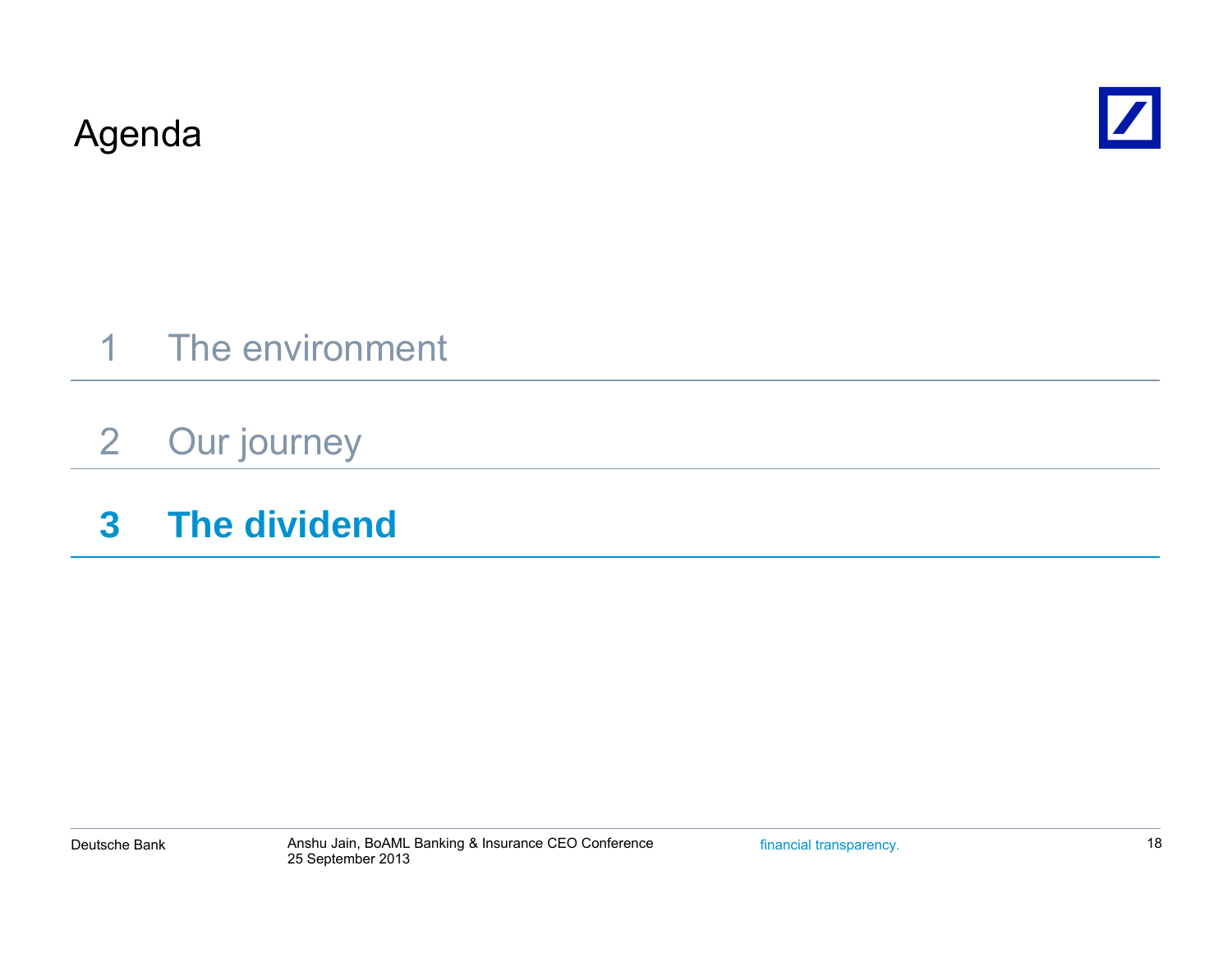Agenda



- 1 The environment
- 2Our journey
- **3 The dividend**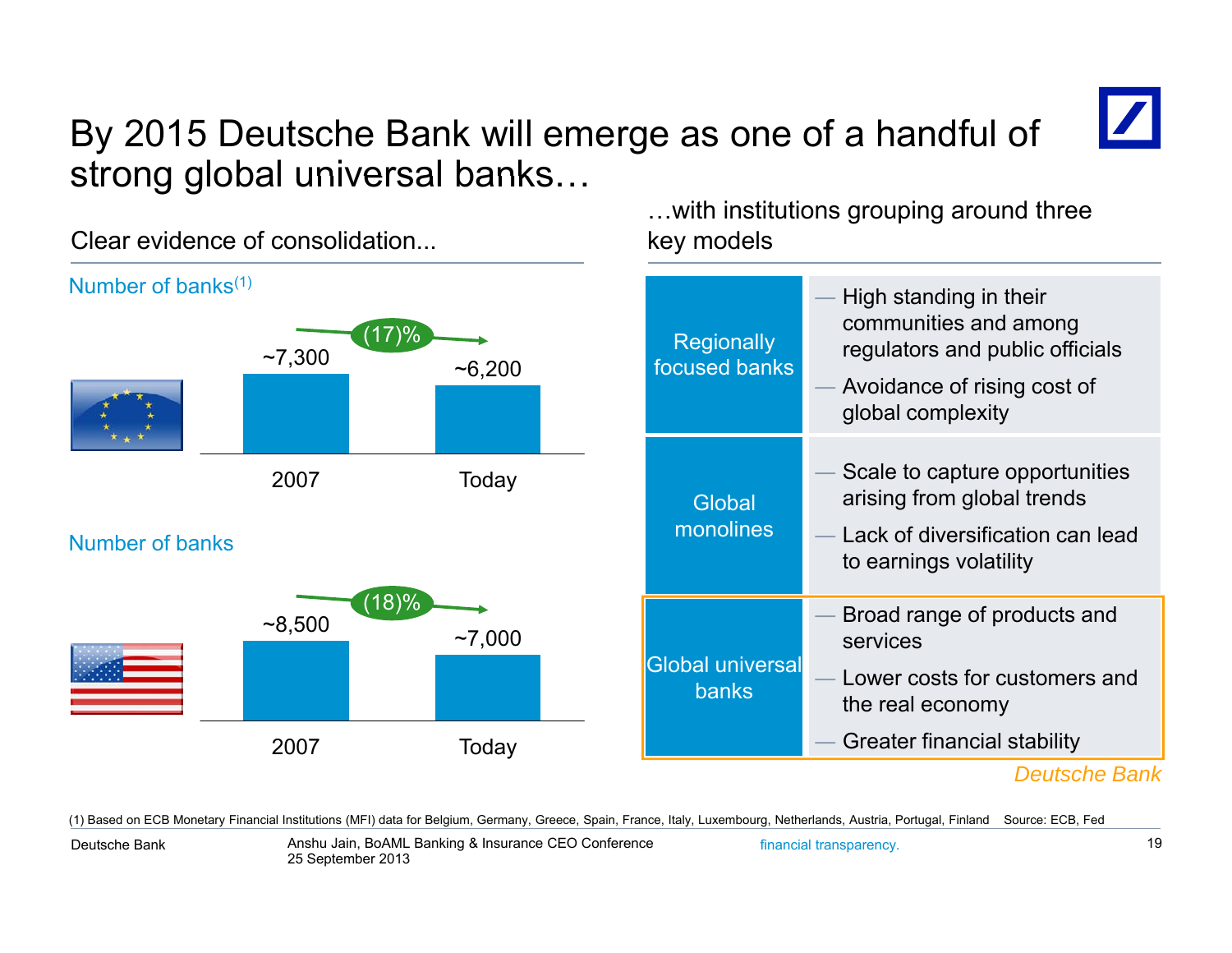## By 2015 Deutsche Bank will emerge as one of a handful of strong global universal banks...

 key models Number of banks<sup>(1)</sup> High standing in their the standing in their their theorem  $\blacksquare$  High standing in their (17)%  $\sim$ 7,300  $\sim$  6,200 Regionally<br> $\sim$ 6,200 focused banks communities and among regulators and public officials Avoidance of rising cost of global complexity 2007 Today **Global** monolines Scale to capture opportunities arising from global trends ks **Example 20 Lack of diversification can lead** — Lack of diversification can lead N b fb kNumber of bansto earnings volatility Broad range of products and services $(18)%$  $\sim$ 8,500  $\sim$ 7,000 Global universal banks Lower costs for customers and the real economy Greater financial stability *Deutsche Bank*2007Today

(1) Based on ECB Monetary Financial Institutions (MFI) data for Belgium, Germany, Greece, Spain, France, Italy, Luxembourg, Netherlands, Austria, Portugal, Finland Source: ECB, Fed

Deutsche Bank

Clear evidence of consolidation.

…with institutions grouping around three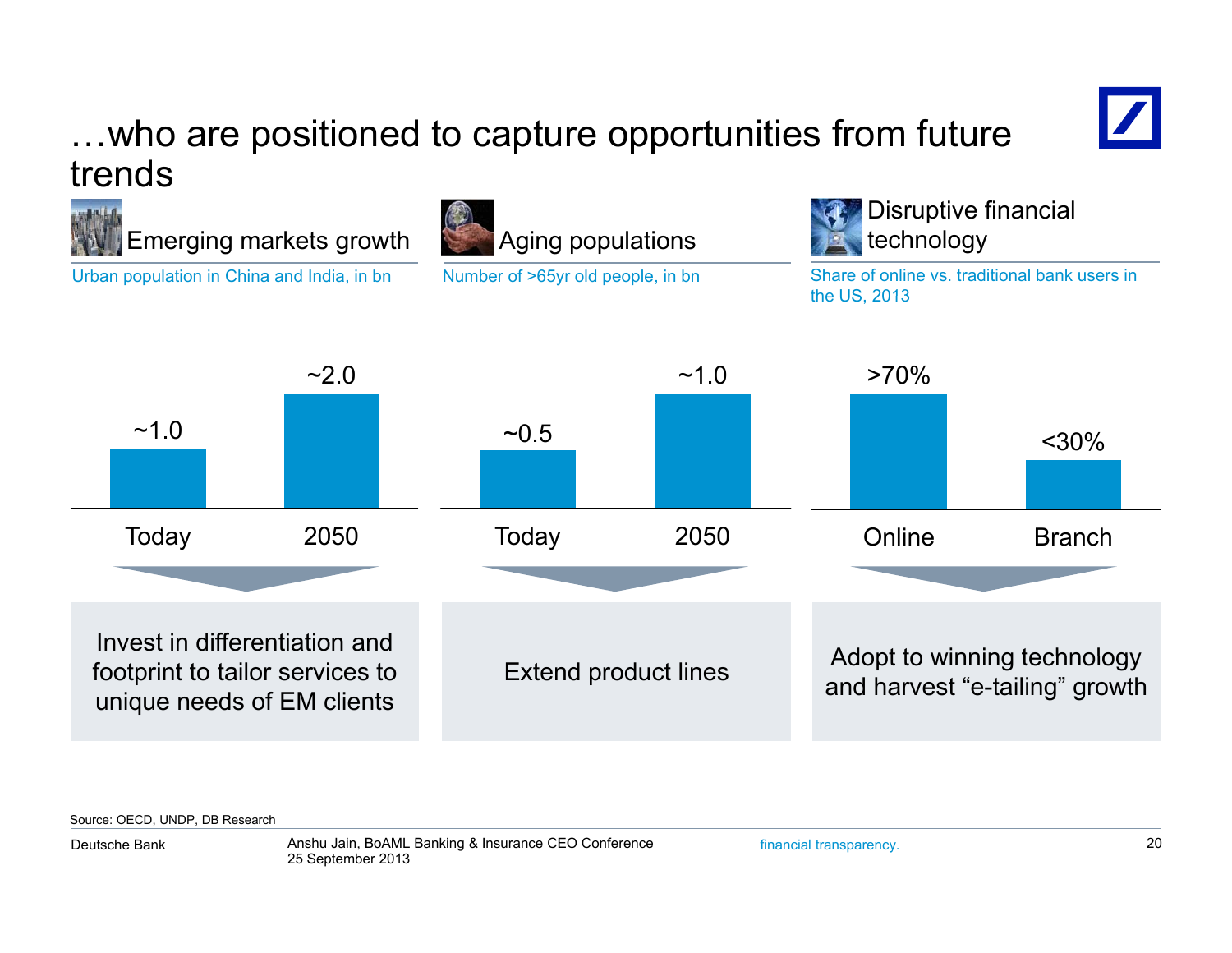### …who are positioned to capture opportunities from future trends

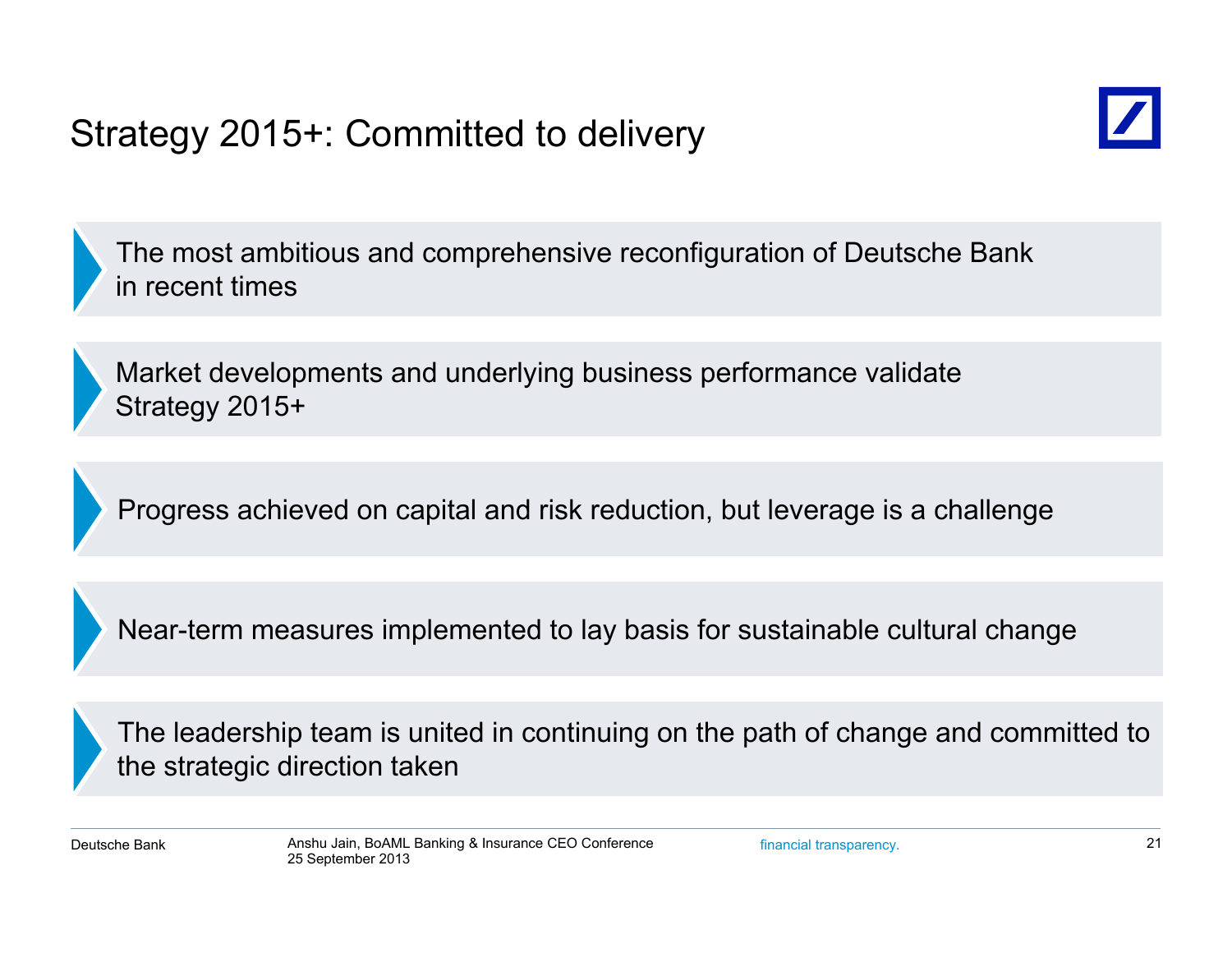## Strategy 2015+: Committed to delivery



The most ambitious and comprehensive reconfiguration of Deutsche Bank in recent times

Market developments and underlying business performance validate Strategy 2015+

Progress achieved on capital and risk reduction, but leverage is a challenge

Near-term measures implemented to lay basis for sustainable cultural change

The leadership team is united in continuing on the path of change and committed to the strategic direction taken